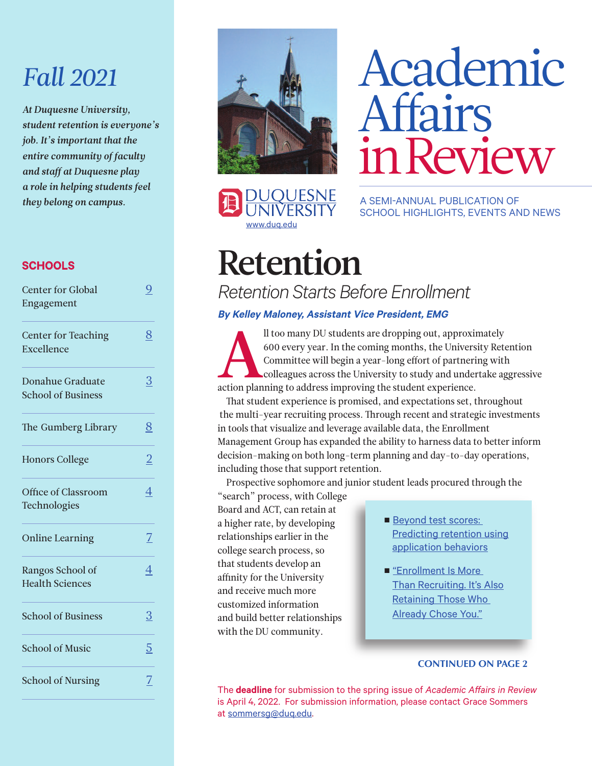### *Fall 2021*

*At Duquesne University, student retention is everyone's job. It's important that the entire community of faculty and staff at Duquesne play a role in helping students feel they belong on campus.*

#### **SCHOOLS**

| <b>Center for Global</b><br>Engagement        | 9              |
|-----------------------------------------------|----------------|
| <b>Center for Teaching</b><br>Excellence      | 8              |
| Donahue Graduate<br><b>School of Business</b> | 3              |
| The Gumberg Library                           | 8              |
| <b>Honors College</b>                         | $\overline{2}$ |
| Office of Classroom<br>Technologies           | 4              |
| <b>Online Learning</b>                        | $\overline{Z}$ |
| Rangos School of<br><b>Health Sciences</b>    | 4              |
| <b>School of Business</b>                     | 3              |
| <b>School of Music</b>                        | 5              |
| <b>School of Nursing</b>                      | 7              |



# Academic Affairs inReview

A SEMI-ANNUAL PUBLICATION OF SCHOOL HIGHLIGHTS, EVENTS AND NEWS

## Retention

**JQUESNE** 

[www.duq.edu](http://www.duq.edu)

*Retention Starts Before Enrollment*

#### **By Kelley Maloney, Assistant Vice President, EMG**

Il too many DU students are dropping out, approximately<br>600 every year. In the coming months, the University Ret<br>Committee will begin a year-long effort of partnering wit<br>colleagues across the University to study and under 600 every year. In the coming months, the University Retention Committee will begin a year-long effort of partnering with colleagues across the University to study and undertake aggressive action planning to address improving the student experience.

That student experience is promised, and expectations set, throughout the multi-year recruiting process. Through recent and strategic investments in tools that visualize and leverage available data, the Enrollment Management Group has expanded the ability to harness data to better inform decision-making on both long-term planning and day-to-day operations, including those that support retention.

Prospective sophomore and junior student leads procured through the

"search" process, with College Board and ACT, can retain at a higher rate, by developing relationships earlier in the college search process, so that students develop an affinity for the University and receive much more customized information and build better relationships with the DU community.

- Beyond test scores: Predicting retention using [application](https://eab.com/insights/expert-insight/enrollment/beyond-test-scores-predicting-retention-using-application-behaviors/) behaviors
- ["Enrollment](https://www.ruffalonl.com/blog/enrollment/enrollment-is-more-than-recruiting/) Is More **Than Recruiting. It's Also** Retaining Those Who Already Chose You."

#### **CONTINUED ON PAGE 2**

The **deadline** for submission to the spring issue of *Academic Affairs in Review* is April 4, 2022. For submission information, please contact Grace Sommers at [sommersg@duq.edu.](mailto:sommersg@duq.edu)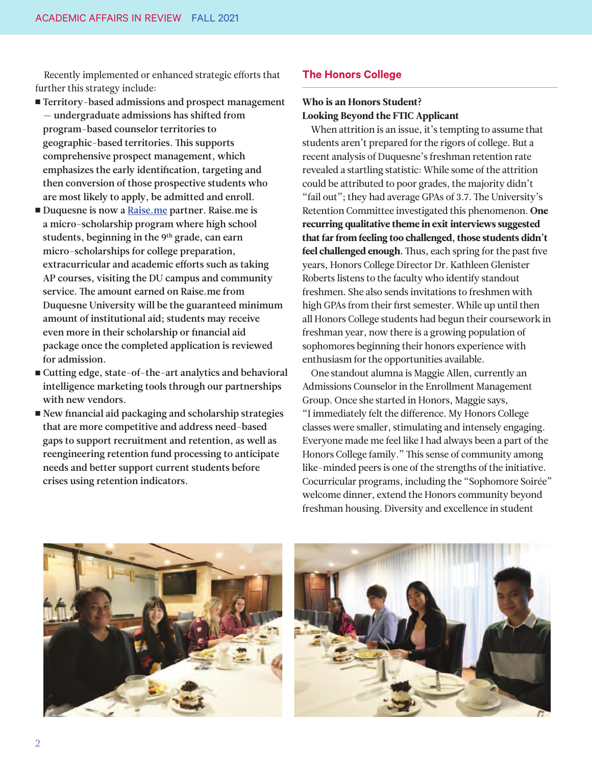<span id="page-1-0"></span>Recently implemented or enhanced strategic efforts that further this strategy include:

- Territory-based admissions and prospect management — undergraduate admissions has shifted from program-based counselor territories to geographic-based territories. This supports comprehensive prospect management, which emphasizes the early identification, targeting and then conversion of those prospective students who are most likely to apply, be admitted and enroll.
- Duquesne is now a [Raise.me](https://www.raise.me) partner. Raise.me is a micro-scholarship program where high school students, beginning in the 9<sup>th</sup> grade, can earn micro-scholarships for college preparation, extracurricular and academic efforts such as taking AP courses, visiting the DU campus and community service. The amount earned on Raise.me from Duquesne University will be the guaranteed minimum amount of institutional aid; students may receive even more in their scholarship or financial aid package once the completed application is reviewed for admission.
- Cutting edge, state-of-the-art analytics and behavioral intelligence marketing tools through our partnerships with new vendors.
- New financial aid packaging and scholarship strategies that are more competitive and address need-based gaps to support recruitment and retention, as well as reengineering retention fund processing to anticipate needs and better support current students before crises using retention indicators.

#### **The Honors College**

#### Who is an Honors Student? Looking Beyond the FTIC Applicant

When attrition is an issue, it's tempting to assume that students aren't prepared for the rigors of college. But a recent analysis of Duquesne's freshman retention rate revealed a startling statistic: While some of the attrition could be attributed to poor grades, the majority didn't "fail out"; they had average GPAs of 3.7. The University's Retention Committee investigated this phenomenon. One recurring qualitative theme in exit interviews suggested that far from feeling too challenged, those students didn't feel challenged enough. Thus, each spring for the past five years, Honors College Director Dr. Kathleen Glenister Roberts listens to the faculty who identify standout freshmen. She also sends invitations to freshmen with high GPAs from their first semester. While up until then all Honors College students had begun their coursework in freshman year, now there is a growing population of sophomores beginning their honors experience with enthusiasm for the opportunities available.

One standout alumna is Maggie Allen, currently an Admissions Counselor in the Enrollment Management Group. Once she started in Honors, Maggie says, "I immediately felt the difference. My Honors College classes were smaller, stimulating and intensely engaging. Everyone made me feel like I had always been a part of the Honors College family." This sense of community among like-minded peers is one of the strengths of the initiative. Cocurricular programs, including the "Sophomore Soirée" welcome dinner, extend the Honors community beyond freshman housing. Diversity and excellence in student



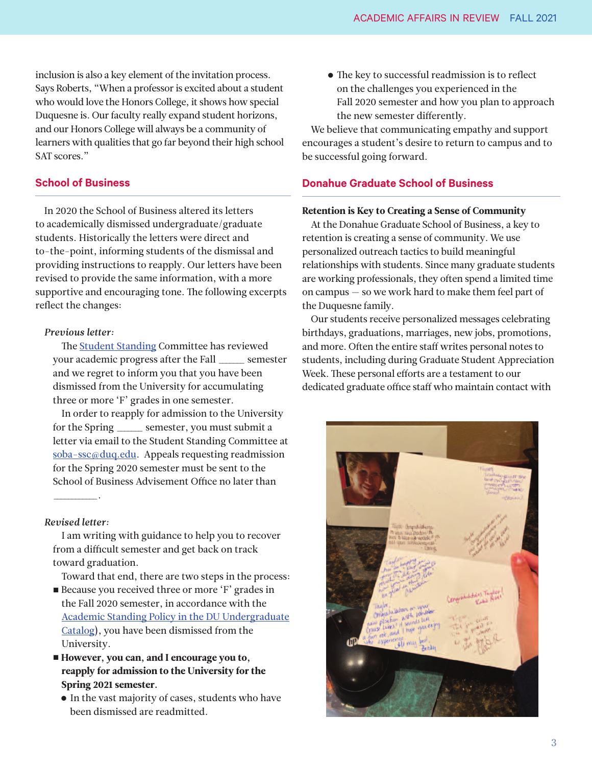<span id="page-2-0"></span>inclusion is also a key element of the invitation process. Says Roberts, "When a professor is excited about a student who would love the Honors College, it shows how special Duquesne is. Our faculty really expand student horizons, and our Honors College will always be a community of learners with qualities that go far beyond their high school SAT scores."

#### **School of Business**

In 2020 the School of Business altered its letters to academically dismissed undergraduate/graduate students. Historically the letters were direct and to-the-point, informing students of the dismissal and providing instructions to reapply. Our letters have been revised to provide the same information, with a more supportive and encouraging tone. The following excerpts reflect the changes:

#### *Previous letter:*

The Student [Standing](https://www.duq.edu/academics/university-catalogs/2019-2020-undergraduate/academic-policies/student-standing) Committee has reviewed your academic progress after the Fall \_\_\_\_\_\_\_ semester and we regret to inform you that you have been dismissed from the University for accumulating three or more 'F' grades in one semester.

In order to reapply for admission to the University for the Spring \_\_\_\_\_\_\_ semester, you must submit a letter via email to the Student Standing Committee at [soba-ssc@duq.edu.](mailto:ssc@duq.edu) Appeals requesting readmission for the Spring 2020 semester must be sent to the School of Business Advisement Office no later than

#### *Revised letter:*

 $\overline{\phantom{a}}$  .

I am writing with guidance to help you to recover from a difficult semester and get back on track toward graduation.

Toward that end, there are two steps in the process:

- Because you received three or more 'F' grades in the Fall 2020 semester, in accordance with the Academic Standing Policy in the DU [Undergraduate](https://www.duq.edu/academics/university-catalogs/2019-2020-undergraduate/academic-policies/student-standing) Catalog), you have been dismissed from the University.
- However, you can, and I encourage you to, reapply for admission to the University for the Spring 2021 semester.
	- In the vast majority of cases, students who have been dismissed are readmitted.

 $\bullet$  The key to successful readmission is to reflect on the challenges you experienced in the Fall 2020 semester and how you plan to approach the new semester differently.

We believe that communicating empathy and support encourages a student's desire to return to campus and to be successful going forward.

#### **Donahue Graduate School of Business**

#### Retention is Key to Creating a Sense of Community

At the Donahue Graduate School of Business, a key to retention is creating a sense of community. We use personalized outreach tactics to build meaningful relationships with students. Since many graduate students are working professionals, they often spend a limited time on campus — so we work hard to make them feel part of the Duquesne family.

Our students receive personalized messages celebrating birthdays, graduations, marriages, new jobs, promotions, and more. Often the entire staff writes personal notes to students, including during Graduate Student Appreciation Week. These personal efforts are a testament to our dedicated graduate office staff who maintain contact with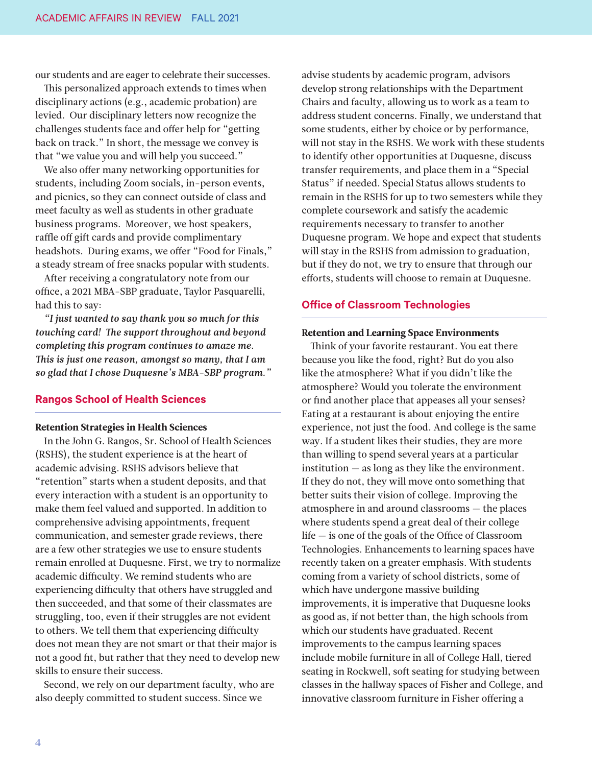<span id="page-3-0"></span>our students and are eager to celebrate their successes.

This personalized approach extends to times when disciplinary actions (e.g., academic probation) are levied. Our disciplinary letters now recognize the challenges students face and offer help for "getting back on track." In short, the message we convey is that "we value you and will help you succeed."

We also offer many networking opportunities for students, including Zoom socials, in-person events, and picnics, so they can connect outside of class and meet faculty as well as students in other graduate business programs. Moreover, we host speakers, raffle off gift cards and provide complimentary headshots. During exams, we offer "Food for Finals," a steady stream of free snacks popular with students.

After receiving a congratulatory note from our office, a 2021 MBA-SBP graduate, Taylor Pasquarelli, had this to say:

*"I just wanted to say thank you so much for this touching card! The support throughout and beyond completing this program continues to amaze me. -is is just one reason, amongst so many, that I am so glad that I chose Duquesne's MBA-SBP program."*

#### **Rangos School of Health Sciences**

#### Retention Strategies in Health Sciences

In the John G. Rangos, Sr. School of Health Sciences (RSHS), the student experience is at the heart of academic advising. RSHS advisors believe that "retention" starts when a student deposits, and that every interaction with a student is an opportunity to make them feel valued and supported. In addition to comprehensive advising appointments, frequent communication, and semester grade reviews, there are a few other strategies we use to ensure students remain enrolled at Duquesne. First, we try to normalize academic difficulty. We remind students who are experiencing difficulty that others have struggled and then succeeded, and that some of their classmates are struggling, too, even if their struggles are not evident to others. We tell them that experiencing difficulty does not mean they are not smart or that their major is not a good fit, but rather that they need to develop new skills to ensure their success.

Second, we rely on our department faculty, who are also deeply committed to student success. Since we

advise students by academic program, advisors develop strong relationships with the Department Chairs and faculty, allowing us to work as a team to address student concerns. Finally, we understand that some students, either by choice or by performance, will not stay in the RSHS. We work with these students to identify other opportunities at Duquesne, discuss transfer requirements, and place them in a "Special Status" if needed. Special Status allows students to remain in the RSHS for up to two semesters while they complete coursework and satisfy the academic requirements necessary to transfer to another Duquesne program. We hope and expect that students will stay in the RSHS from admission to graduation, but if they do not, we try to ensure that through our efforts, students will choose to remain at Duquesne.

#### **Office of Classroom Technologies**

#### Retention and Learning Space Environments

Think of your favorite restaurant. You eat there because you like the food, right? But do you also like the atmosphere? What if you didn't like the atmosphere? Would you tolerate the environment or find another place that appeases all your senses? Eating at a restaurant is about enjoying the entire experience, not just the food. And college is the same way. If a student likes their studies, they are more than willing to spend several years at a particular institution — as long as they like the environment. If they do not, they will move onto something that better suits their vision of college. Improving the atmosphere in and around classrooms — the places where students spend a great deal of their college life — is one of the goals of the Office of Classroom Technologies. Enhancements to learning spaces have recently taken on a greater emphasis. With students coming from a variety of school districts, some of which have undergone massive building improvements, it is imperative that Duquesne looks as good as, if not better than, the high schools from which our students have graduated. Recent improvements to the campus learning spaces include mobile furniture in all of College Hall, tiered seating in Rockwell, soft seating for studying between classes in the hallway spaces of Fisher and College, and innovative classroom furniture in Fisher offering a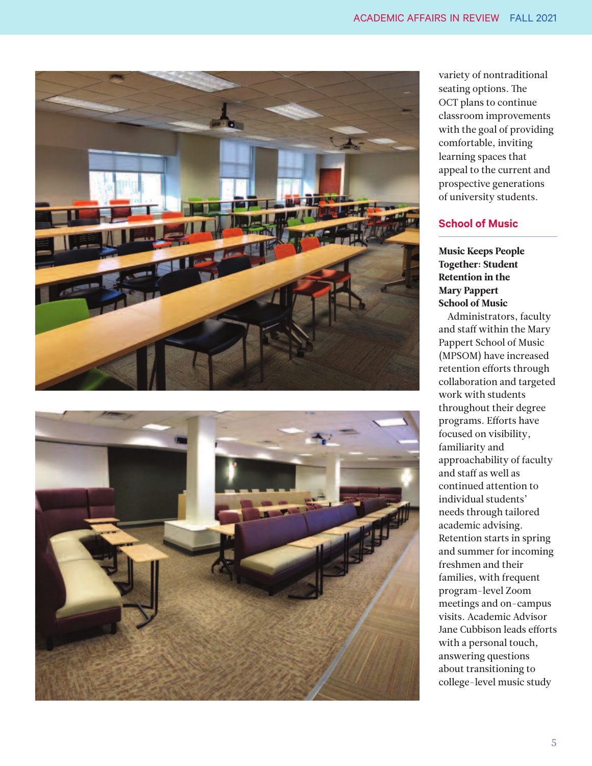<span id="page-4-0"></span>



variety of nontraditional seating options. The OCT plans to continue classroom improvements with the goal of providing comfortable, inviting learning spaces that appeal to the current and prospective generations of university students.

#### **School of Music**

Music Keeps People Together: Student Retention in the Mary Pappert School of Music

Administrators, faculty and staff within the Mary Pappert School of Music (MPSOM) have increased retention efforts through collaboration and targeted work with students throughout their degree programs. Efforts have focused on visibility, familiarity and approachability of faculty and staff as well as continued attention to individual students' needs through tailored academic advising. Retention starts in spring and summer for incoming freshmen and their families, with frequent program-level Zoom meetings and on-campus visits. Academic Advisor Jane Cubbison leads efforts with a personal touch, answering questions about transitioning to college-level music study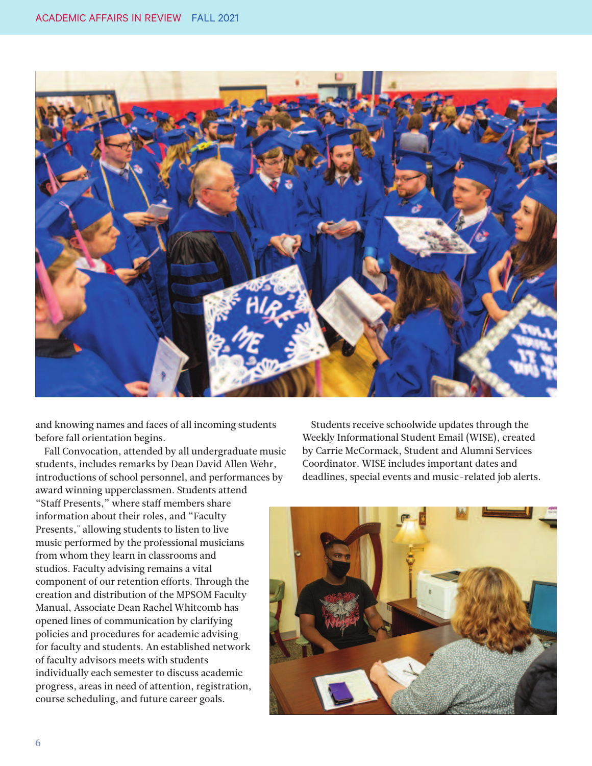

and knowing names and faces of all incoming students before fall orientation begins.

Fall Convocation, attended by all undergraduate music students, includes remarks by Dean David Allen Wehr, introductions of school personnel, and performances by award winning upperclassmen. Students attend "Staff Presents," where staff members share information about their roles, and "Faculty Presents," allowing students to listen to live music performed by the professional musicians from whom they learn in classrooms and studios. Faculty advising remains a vital component of our retention efforts. Through the creation and distribution of the MPSOM Faculty Manual, Associate Dean Rachel Whitcomb has opened lines of communication by clarifying policies and procedures for academic advising for faculty and students. An established network of faculty advisors meets with students individually each semester to discuss academic progress, areas in need of attention, registration, course scheduling, and future career goals.

Students receive schoolwide updates through the Weekly Informational Student Email (WISE), created by Carrie McCormack, Student and Alumni Services Coordinator. WISE includes important dates and deadlines, special events and music-related job alerts.

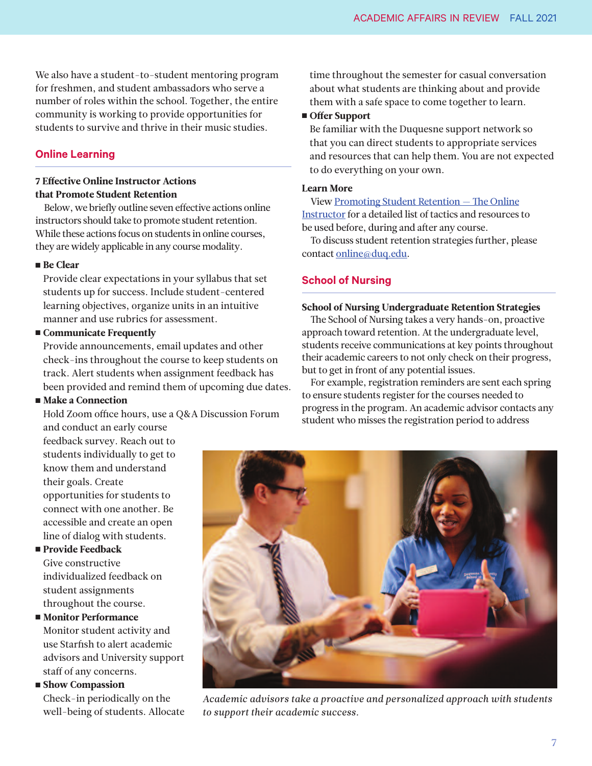<span id="page-6-0"></span>We also have a student-to-student mentoring program for freshmen, and student ambassadors who serve a number of roles within the school. Together, the entire community is working to provide opportunities for students to survive and thrive in their music studies.

#### **Online Learning**

#### 7 Effective Online Instructor Actions that Promote Student Retention

Below, we briefly outline seven effective actions online instructors should take to promote student retention. While these actions focus on students in online courses, they are widely applicable in any course modality.

#### ■ Be Clear

Provide clear expectations in your syllabus that set students up for success. Include student-centered learning objectives, organize units in an intuitive manner and use rubrics for assessment.

#### ■ Communicate Frequently

Provide announcements, email updates and other check-ins throughout the course to keep students on track. Alert students when assignment feedback has been provided and remind them of upcoming due dates.

#### ■ Make a Connection

Hold Zoom office hours, use a Q&A Discussion Forum and conduct an early course

feedback survey. Reach out to students individually to get to know them and understand their goals. Create opportunities for students to connect with one another. Be accessible and create an open line of dialog with students.

#### ■ Provide Feedback

Give constructive individualized feedback on student assignments throughout the course.

■ Monitor Performance Monitor student activity and use Starfish to alert academic advisors and University support staff of any concerns.

■ Show Compassion

Check-in periodically on the well-being of students. Allocate time throughout the semester for casual conversation about what students are thinking about and provide them with a safe space to come together to learn.

#### ■ Offer Support

Be familiar with the Duquesne support network so that you can direct students to appropriate services and resources that can help them. You are not expected to do everything on your own.

#### Learn More

View [Promoting](https://duq.app.box.com/s/amr53je0r9tm4yahstyiusuaazcqtc22) Student Retention — The Online Instructor for a detailed list of tactics and resources to be used before, during and after any course.

To discuss student retention strategies further, please contact [online@duq.edu.](mailto:online@duq.edu)

#### **School of Nursing**

#### School of Nursing Undergraduate Retention Strategies

The School of Nursing takes a very hands-on, proactive approach toward retention. At the undergraduate level, students receive communications at key points throughout their academic careers to not only check on their progress, but to get in front of any potential issues.

For example, registration reminders are sent each spring to ensure students register for the courses needed to progress in the program. An academic advisor contacts any student who misses the registration period to address



*Academic advisors take a proactive and personalized approach with students to support their academic success.*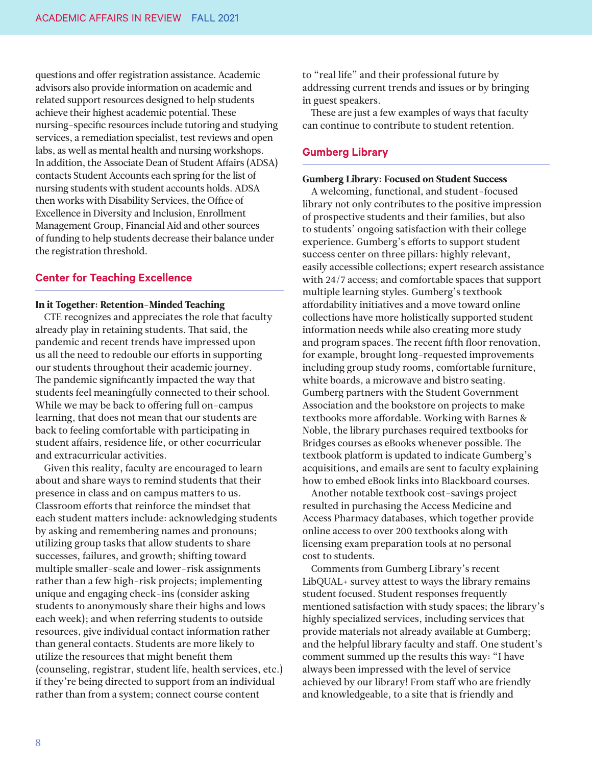<span id="page-7-0"></span>questions and offer registration assistance. Academic advisors also provide information on academic and related support resources designed to help students achieve their highest academic potential. These nursing-specific resources include tutoring and studying services, a remediation specialist, test reviews and open labs, as well as mental health and nursing workshops. In addition, the Associate Dean of Student Affairs (ADSA) contacts Student Accounts each spring for the list of nursing students with student accounts holds. ADSA then works with Disability Services, the Office of Excellence in Diversity and Inclusion, Enrollment Management Group, Financial Aid and other sources of funding to help students decrease their balance under the registration threshold.

#### **Center for Teaching Excellence**

#### In it Together: Retention-Minded Teaching

CTE recognizes and appreciates the role that faculty already play in retaining students. That said, the pandemic and recent trends have impressed upon us all the need to redouble our efforts in supporting our students throughout their academic journey. The pandemic significantly impacted the way that students feel meaningfully connected to their school. While we may be back to offering full on-campus learning, that does not mean that our students are back to feeling comfortable with participating in student affairs, residence life, or other cocurricular and extracurricular activities.

Given this reality, faculty are encouraged to learn about and share ways to remind students that their presence in class and on campus matters to us. Classroom efforts that reinforce the mindset that each student matters include: acknowledging students by asking and remembering names and pronouns; utilizing group tasks that allow students to share successes, failures, and growth; shifting toward multiple smaller-scale and lower-risk assignments rather than a few high-risk projects; implementing unique and engaging check-ins (consider asking students to anonymously share their highs and lows each week); and when referring students to outside resources, give individual contact information rather than general contacts. Students are more likely to utilize the resources that might benefit them (counseling, registrar, student life, health services, etc.) if they're being directed to support from an individual rather than from a system; connect course content

to "real life" and their professional future by addressing current trends and issues or by bringing in guest speakers.

These are just a few examples of ways that faculty can continue to contribute to student retention.

#### **Gumberg Library**

#### Gumberg Library: Focused on Student Success

A welcoming, functional, and student-focused library not only contributes to the positive impression of prospective students and their families, but also to students' ongoing satisfaction with their college experience. Gumberg's efforts to support student success center on three pillars: highly relevant, easily accessible collections; expert research assistance with 24/7 access; and comfortable spaces that support multiple learning styles. Gumberg's textbook affordability initiatives and a move toward online collections have more holistically supported student information needs while also creating more study and program spaces. The recent fifth floor renovation, for example, brought long-requested improvements including group study rooms, comfortable furniture, white boards, a microwave and bistro seating. Gumberg partners with the Student Government Association and the bookstore on projects to make textbooks more affordable. Working with Barnes & Noble, the library purchases required textbooks for Bridges courses as eBooks whenever possible. The textbook platform is updated to indicate Gumberg's acquisitions, and emails are sent to faculty explaining how to embed eBook links into Blackboard courses.

Another notable textbook cost-savings project resulted in purchasing the Access Medicine and Access Pharmacy databases, which together provide online access to over 200 textbooks along with licensing exam preparation tools at no personal cost to students.

Comments from Gumberg Library's recent LibQUAL+ survey attest to ways the library remains student focused. Student responses frequently mentioned satisfaction with study spaces; the library's highly specialized services, including services that provide materials not already available at Gumberg; and the helpful library faculty and staff. One student's comment summed up the results this way: "I have always been impressed with the level of service achieved by our library! From staff who are friendly and knowledgeable, to a site that is friendly and